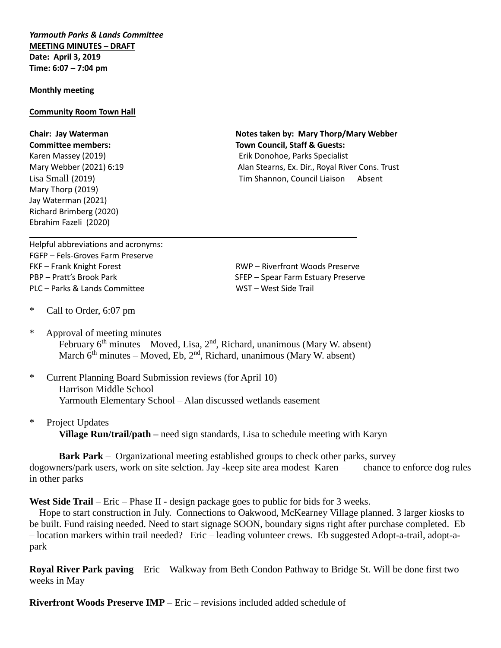*Yarmouth Parks & Lands Committee* **MEETING MINUTES – DRAFT Date: April 3, 2019 Time: 6:07 – 7:04 pm**

## **Monthly meeting**

## **Community Room Town Hall**

| Chair: Jay Waterman       | Notes taken by: Mary Thorp/Mary Webber          |
|---------------------------|-------------------------------------------------|
| <b>Committee members:</b> | <b>Town Council, Staff &amp; Guests:</b>        |
| Karen Massey (2019)       | Erik Donohoe, Parks Specialist                  |
| Mary Webber (2021) 6:19   | Alan Stearns, Ex. Dir., Royal River Cons. Trust |
| Lisa Small (2019)         | Tim Shannon, Council Liaison<br>Absent          |
| Mary Thorp (2019)         |                                                 |
| Jay Waterman (2021)       |                                                 |
| Richard Brimberg (2020)   |                                                 |
| Ebrahim Fazeli (2020)     |                                                 |
|                           |                                                 |

Helpful abbreviations and acronyms: FGFP – Fels-Groves Farm Preserve FKF – Frank Knight Forest RWP – Riverfront Woods Preserve PBP – Pratt's Brook Park SFEP – Spear Farm Estuary Preserve PLC – Parks & Lands Committee WST – WST – West Side Trail

- \* Call to Order, 6:07 pm
- \* Approval of meeting minutes February  $6<sup>th</sup>$  minutes – Moved, Lisa,  $2<sup>nd</sup>$ , Richard, unanimous (Mary W. absent) March  $6<sup>th</sup>$  minutes – Moved, Eb,  $2<sup>nd</sup>$ , Richard, unanimous (Mary W. absent)
- \* Current Planning Board Submission reviews (for April 10) Harrison Middle School Yarmouth Elementary School – Alan discussed wetlands easement
- \* Project Updates **Village Run/trail/path –** need sign standards, Lisa to schedule meeting with Karyn

**Bark Park** – Organizational meeting established groups to check other parks, survey dogowners/park users, work on site selction. Jay -keep site area modest Karen – chance to enforce dog rules in other parks

West Side Trail – Eric – Phase II - design package goes to public for bids for 3 weeks.

 Hope to start construction in July. Connections to Oakwood, McKearney Village planned. 3 larger kiosks to be built. Fund raising needed. Need to start signage SOON, boundary signs right after purchase completed. Eb – location markers within trail needed? Eric – leading volunteer crews. Eb suggested Adopt-a-trail, adopt-apark

**Royal River Park paving** – Eric – Walkway from Beth Condon Pathway to Bridge St. Will be done first two weeks in May

**Riverfront Woods Preserve IMP** – Eric – revisions included added schedule of